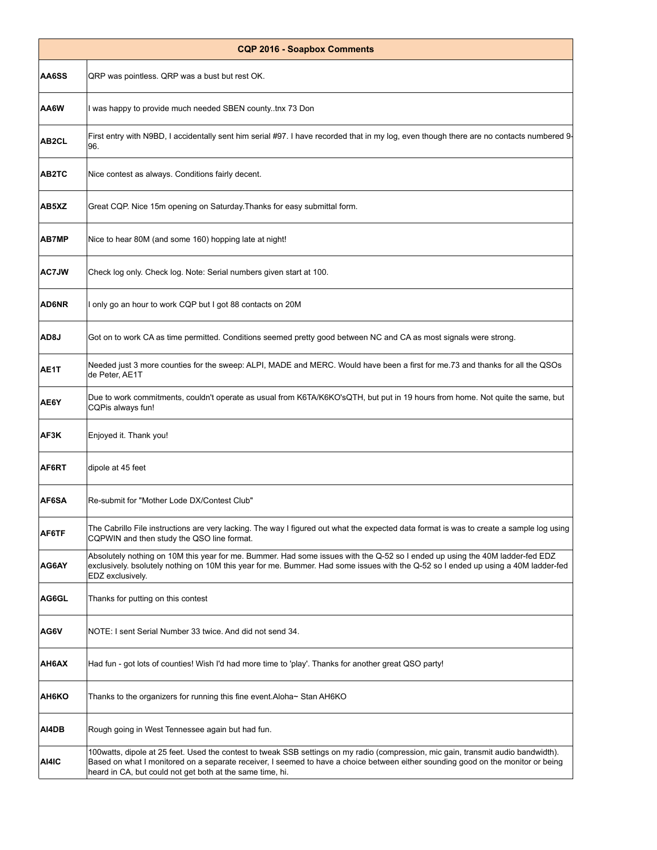| <b>CQP 2016 - Soapbox Comments</b> |                                                                                                                                                                                                                                                                                                                                     |
|------------------------------------|-------------------------------------------------------------------------------------------------------------------------------------------------------------------------------------------------------------------------------------------------------------------------------------------------------------------------------------|
| AA6SS                              | QRP was pointless. QRP was a bust but rest OK.                                                                                                                                                                                                                                                                                      |
| AA6W                               | I was happy to provide much needed SBEN countytnx 73 Don                                                                                                                                                                                                                                                                            |
| AB2CL                              | First entry with N9BD, I accidentally sent him serial #97. I have recorded that in my log, even though there are no contacts numbered 9-<br>96.                                                                                                                                                                                     |
| AB2TC                              | Nice contest as always. Conditions fairly decent.                                                                                                                                                                                                                                                                                   |
| AB5XZ                              | Great CQP. Nice 15m opening on Saturday. Thanks for easy submittal form.                                                                                                                                                                                                                                                            |
| <b>AB7MP</b>                       | Nice to hear 80M (and some 160) hopping late at night!                                                                                                                                                                                                                                                                              |
| <b>AC7JW</b>                       | Check log only. Check log. Note: Serial numbers given start at 100.                                                                                                                                                                                                                                                                 |
| <b>AD6NR</b>                       | I only go an hour to work CQP but I got 88 contacts on 20M                                                                                                                                                                                                                                                                          |
| AD <sub>8</sub> J                  | Got on to work CA as time permitted. Conditions seemed pretty good between NC and CA as most signals were strong.                                                                                                                                                                                                                   |
| AE1T                               | Needed just 3 more counties for the sweep: ALPI, MADE and MERC. Would have been a first for me.73 and thanks for all the QSOs<br>de Peter, AE1T                                                                                                                                                                                     |
| AE6Y                               | Due to work commitments, couldn't operate as usual from K6TA/K6KO'sQTH, but put in 19 hours from home. Not quite the same, but<br>CQPis always fun!                                                                                                                                                                                 |
| AF3K                               | Enjoyed it. Thank you!                                                                                                                                                                                                                                                                                                              |
| AF6RT                              | dipole at 45 feet                                                                                                                                                                                                                                                                                                                   |
| AF6SA                              | Re-submit for "Mother Lode DX/Contest Club"                                                                                                                                                                                                                                                                                         |
| AF6TF                              | The Cabrillo File instructions are very lacking. The way I figured out what the expected data format is was to create a sample log using<br>CQPWIN and then study the QSO line format.                                                                                                                                              |
| AG6AY                              | Absolutely nothing on 10M this year for me. Bummer. Had some issues with the Q-52 so I ended up using the 40M ladder-fed EDZ<br>exclusively. bsolutely nothing on 10M this year for me. Bummer. Had some issues with the Q-52 so I ended up using a 40M ladder-fed<br>EDZ exclusively.                                              |
| AG6GL                              | Thanks for putting on this contest                                                                                                                                                                                                                                                                                                  |
| AG6V                               | NOTE: I sent Serial Number 33 twice. And did not send 34.                                                                                                                                                                                                                                                                           |
| AH6AX                              | Had fun - got lots of counties! Wish I'd had more time to 'play'. Thanks for another great QSO party!                                                                                                                                                                                                                               |
| AH6KO                              | Thanks to the organizers for running this fine event.Aloha∼ Stan AH6KO                                                                                                                                                                                                                                                              |
| AI4DB                              | Rough going in West Tennessee again but had fun.                                                                                                                                                                                                                                                                                    |
| AI4IC                              | 100watts, dipole at 25 feet. Used the contest to tweak SSB settings on my radio (compression, mic gain, transmit audio bandwidth).<br>Based on what I monitored on a separate receiver, I seemed to have a choice between either sounding good on the monitor or being<br>heard in CA, but could not get both at the same time, hi. |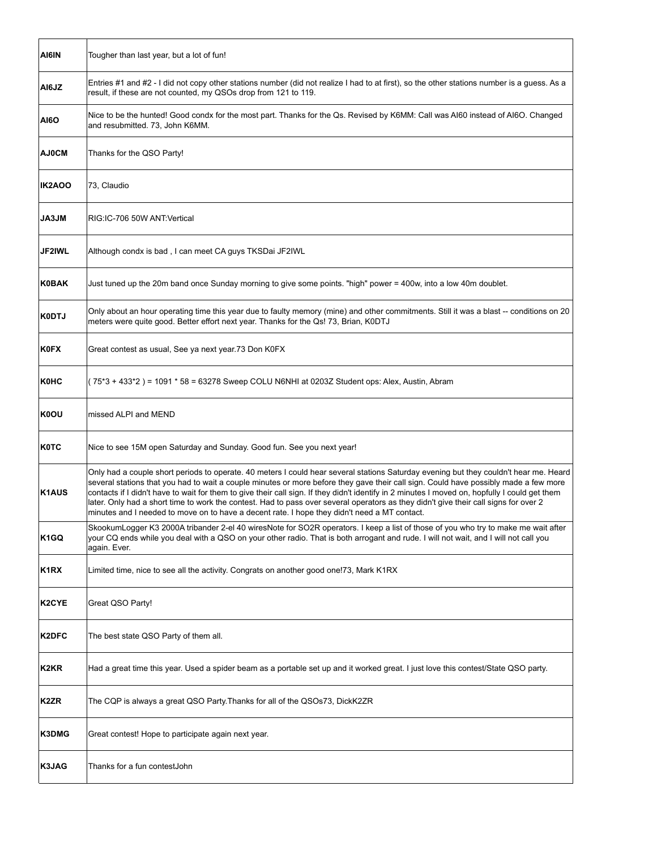| AI6IN              | Tougher than last year, but a lot of fun!                                                                                                                                                                                                                                                                                                                                                                                                                                                                                                                                                                                                                               |
|--------------------|-------------------------------------------------------------------------------------------------------------------------------------------------------------------------------------------------------------------------------------------------------------------------------------------------------------------------------------------------------------------------------------------------------------------------------------------------------------------------------------------------------------------------------------------------------------------------------------------------------------------------------------------------------------------------|
| AI6JZ              | Entries #1 and #2 - I did not copy other stations number (did not realize I had to at first), so the other stations number is a guess. As a<br>result, if these are not counted, my QSOs drop from 121 to 119.                                                                                                                                                                                                                                                                                                                                                                                                                                                          |
| <b>AI6O</b>        | Nice to be the hunted! Good condx for the most part. Thanks for the Qs. Revised by K6MM: Call was AI60 instead of AI6O. Changed<br>and resubmitted. 73, John K6MM.                                                                                                                                                                                                                                                                                                                                                                                                                                                                                                      |
| <b>AJ0CM</b>       | Thanks for the QSO Party!                                                                                                                                                                                                                                                                                                                                                                                                                                                                                                                                                                                                                                               |
| <b>IK2AOO</b>      | 73, Claudio                                                                                                                                                                                                                                                                                                                                                                                                                                                                                                                                                                                                                                                             |
| <b>JA3JM</b>       | RIG:IC-706 50W ANT:Vertical                                                                                                                                                                                                                                                                                                                                                                                                                                                                                                                                                                                                                                             |
| <b>JF2IWL</b>      | Although condx is bad, I can meet CA guys TKSDai JF2IWL                                                                                                                                                                                                                                                                                                                                                                                                                                                                                                                                                                                                                 |
| <b>K0BAK</b>       | Just tuned up the 20m band once Sunday morning to give some points. "high" power = 400w, into a low 40m doublet.                                                                                                                                                                                                                                                                                                                                                                                                                                                                                                                                                        |
| <b>K0DTJ</b>       | Only about an hour operating time this year due to faulty memory (mine) and other commitments. Still it was a blast -- conditions on 20<br>meters were quite good. Better effort next year. Thanks for the Qs! 73, Brian, K0DTJ                                                                                                                                                                                                                                                                                                                                                                                                                                         |
| <b>K0FX</b>        | Great contest as usual, See ya next year.73 Don K0FX                                                                                                                                                                                                                                                                                                                                                                                                                                                                                                                                                                                                                    |
| K0HC               | (75*3 + 433*2) = 1091 * 58 = 63278 Sweep COLU N6NHI at 0203Z Student ops: Alex, Austin, Abram                                                                                                                                                                                                                                                                                                                                                                                                                                                                                                                                                                           |
| <b>K0OU</b>        | missed ALPI and MEND                                                                                                                                                                                                                                                                                                                                                                                                                                                                                                                                                                                                                                                    |
| <b>K0TC</b>        | Nice to see 15M open Saturday and Sunday. Good fun. See you next year!                                                                                                                                                                                                                                                                                                                                                                                                                                                                                                                                                                                                  |
| <b>K1AUS</b>       | Only had a couple short periods to operate. 40 meters I could hear several stations Saturday evening but they couldn't hear me. Heard<br>several stations that you had to wait a couple minutes or more before they gave their call sign. Could have possibly made a few more<br>contacts if I didn't have to wait for them to give their call sign. If they didn't identify in 2 minutes I moved on, hopfully I could get them<br>later. Only had a short time to work the contest. Had to pass over several operators as they didn't give their call signs for over 2<br>minutes and I needed to move on to have a decent rate. I hope they didn't need a MT contact. |
| K <sub>1</sub> GQ  | SkookumLogger K3 2000A tribander 2-el 40 wiresNote for SO2R operators. I keep a list of those of you who try to make me wait after<br>your CQ ends while you deal with a QSO on your other radio. That is both arrogant and rude. I will not wait, and I will not call you<br>again. Ever.                                                                                                                                                                                                                                                                                                                                                                              |
| K <sub>1</sub> RX  | Limited time, nice to see all the activity. Congrats on another good one!73, Mark K1RX                                                                                                                                                                                                                                                                                                                                                                                                                                                                                                                                                                                  |
| K <sub>2</sub> CYE | Great QSO Party!                                                                                                                                                                                                                                                                                                                                                                                                                                                                                                                                                                                                                                                        |
| K2DFC              | The best state QSO Party of them all.                                                                                                                                                                                                                                                                                                                                                                                                                                                                                                                                                                                                                                   |
| K <sub>2</sub> KR  | Had a great time this year. Used a spider beam as a portable set up and it worked great. I just love this contest/State QSO party.                                                                                                                                                                                                                                                                                                                                                                                                                                                                                                                                      |
| K2ZR               | The CQP is always a great QSO Party.Thanks for all of the QSOs73, DickK2ZR                                                                                                                                                                                                                                                                                                                                                                                                                                                                                                                                                                                              |
| K3DMG              | Great contest! Hope to participate again next year.                                                                                                                                                                                                                                                                                                                                                                                                                                                                                                                                                                                                                     |
| K3JAG              | Thanks for a fun contestJohn                                                                                                                                                                                                                                                                                                                                                                                                                                                                                                                                                                                                                                            |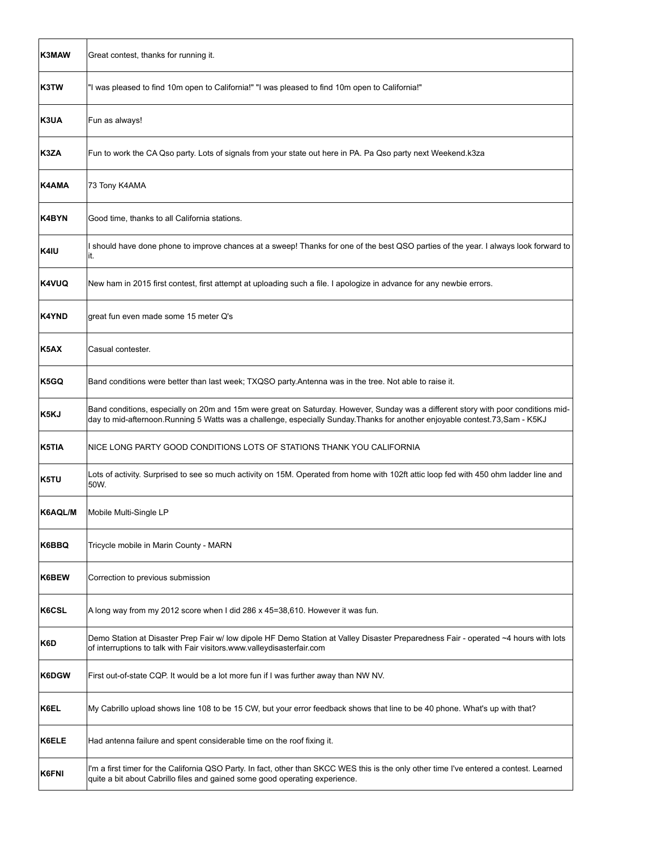| K3MAW             | Great contest, thanks for running it.                                                                                                                                                                                                                                |
|-------------------|----------------------------------------------------------------------------------------------------------------------------------------------------------------------------------------------------------------------------------------------------------------------|
| K3TW              | "I was pleased to find 10m open to California!" "I was pleased to find 10m open to California!"                                                                                                                                                                      |
| K3UA              | Fun as always!                                                                                                                                                                                                                                                       |
| K3ZA              | Fun to work the CA Qso party. Lots of signals from your state out here in PA. Pa Qso party next Weekend.k3za                                                                                                                                                         |
| <b>K4AMA</b>      | 73 Tony K4AMA                                                                                                                                                                                                                                                        |
| K4BYN             | Good time, thanks to all California stations.                                                                                                                                                                                                                        |
| K4IU              | I should have done phone to improve chances at a sweep! Thanks for one of the best QSO parties of the year. I always look forward to<br>it.                                                                                                                          |
| <b>K4VUQ</b>      | New ham in 2015 first contest, first attempt at uploading such a file. I apologize in advance for any newbie errors.                                                                                                                                                 |
| <b>K4YND</b>      | great fun even made some 15 meter Q's                                                                                                                                                                                                                                |
| K <sub>5</sub> AX | Casual contester.                                                                                                                                                                                                                                                    |
| K5GQ              | Band conditions were better than last week; TXQSO party.Antenna was in the tree. Not able to raise it.                                                                                                                                                               |
| K5KJ              | Band conditions, especially on 20m and 15m were great on Saturday. However, Sunday was a different story with poor conditions mid-<br>day to mid-afternoon. Running 5 Watts was a challenge, especially Sunday. Thanks for another enjoyable contest. 73, Sam - K5KJ |
| K5TIA             | NICE LONG PARTY GOOD CONDITIONS LOTS OF STATIONS THANK YOU CALIFORNIA                                                                                                                                                                                                |
| K5TU              | Lots of activity. Surprised to see so much activity on 15M. Operated from home with 102ft attic loop fed with 450 ohm ladder line and<br>50W.                                                                                                                        |
| K6AQL/M           | Mobile Multi-Single LP                                                                                                                                                                                                                                               |
| K6BBQ             | Tricycle mobile in Marin County - MARN                                                                                                                                                                                                                               |
| K6BEW             | Correction to previous submission                                                                                                                                                                                                                                    |
| <b>K6CSL</b>      | A long way from my 2012 score when I did 286 x 45=38,610. However it was fun.                                                                                                                                                                                        |
| K6D               | Demo Station at Disaster Prep Fair w/ low dipole HF Demo Station at Valley Disaster Preparedness Fair - operated ~4 hours with lots<br>of interruptions to talk with Fair visitors.www.valleydisasterfair.com                                                        |
| K6DGW             | First out-of-state CQP. It would be a lot more fun if I was further away than NW NV.                                                                                                                                                                                 |
| K6EL              | My Cabrillo upload shows line 108 to be 15 CW, but your error feedback shows that line to be 40 phone. What's up with that?                                                                                                                                          |
| K6ELE             | Had antenna failure and spent considerable time on the roof fixing it.                                                                                                                                                                                               |
| K6FNI             | I'm a first timer for the California QSO Party. In fact, other than SKCC WES this is the only other time I've entered a contest. Learned<br>quite a bit about Cabrillo files and gained some good operating experience.                                              |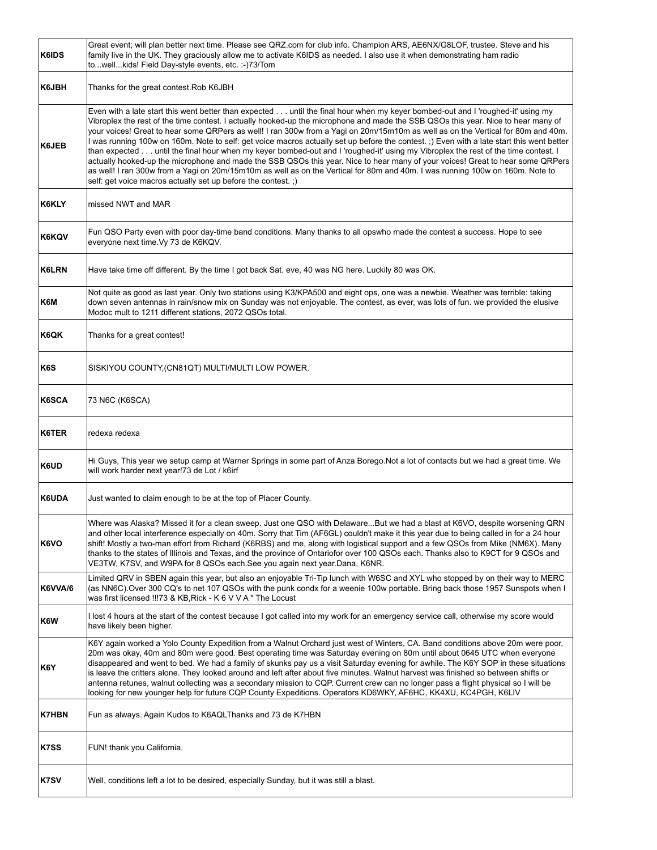| <b>K6IDS</b> | Great event; will plan better next time. Please see QRZ.com for club info. Champion ARS, AE6NX/G8LOF, trustee. Steve and his<br>family live in the UK. They graciously allow me to activate K6IDS as needed. I also use it when demonstrating ham radio<br>towellkids! Field Day-style events, etc. :-)73/Tom                                                                                                                                                                                                                                                                                                                                                                                                                                                                                                                                                                                                                                                                                                                 |
|--------------|-------------------------------------------------------------------------------------------------------------------------------------------------------------------------------------------------------------------------------------------------------------------------------------------------------------------------------------------------------------------------------------------------------------------------------------------------------------------------------------------------------------------------------------------------------------------------------------------------------------------------------------------------------------------------------------------------------------------------------------------------------------------------------------------------------------------------------------------------------------------------------------------------------------------------------------------------------------------------------------------------------------------------------|
| K6JBH        | Thanks for the great contest.Rob K6JBH                                                                                                                                                                                                                                                                                                                                                                                                                                                                                                                                                                                                                                                                                                                                                                                                                                                                                                                                                                                        |
| <b>K6JEB</b> | Even with a late start this went better than expected until the final hour when my keyer bombed-out and I 'roughed-it' using my<br>Vibroplex the rest of the time contest. I actually hooked-up the microphone and made the SSB QSOs this year. Nice to hear many of<br>your voices! Great to hear some QRPers as well! I ran 300w from a Yagi on 20m/15m10m as well as on the Vertical for 80m and 40m.<br>I was running 100w on 160m. Note to self: get voice macros actually set up before the contest.; ) Even with a late start this went better<br>than expected until the final hour when my keyer bombed-out and I 'roughed-it' using my Vibroplex the rest of the time contest. I<br>actually hooked-up the microphone and made the SSB QSOs this year. Nice to hear many of your voices! Great to hear some QRPers<br>as well! I ran 300w from a Yagi on 20m/15m10m as well as on the Vertical for 80m and 40m. I was running 100w on 160m. Note to<br>self: get voice macros actually set up before the contest.;) |
| K6KLY        | missed NWT and MAR                                                                                                                                                                                                                                                                                                                                                                                                                                                                                                                                                                                                                                                                                                                                                                                                                                                                                                                                                                                                            |
| K6KQV        | Fun QSO Party even with poor day-time band conditions. Many thanks to all opswho made the contest a success. Hope to see<br>everyone next time. Vy 73 de K6KQV.                                                                                                                                                                                                                                                                                                                                                                                                                                                                                                                                                                                                                                                                                                                                                                                                                                                               |
| <b>K6LRN</b> | Have take time off different. By the time I got back Sat. eve, 40 was NG here. Luckily 80 was OK.                                                                                                                                                                                                                                                                                                                                                                                                                                                                                                                                                                                                                                                                                                                                                                                                                                                                                                                             |
| K6M          | Not quite as good as last year. Only two stations using K3/KPA500 and eight ops, one was a newbie. Weather was terrible: taking<br>down seven antennas in rain/snow mix on Sunday was not enjoyable. The contest, as ever, was lots of fun, we provided the elusive<br>Modoc mult to 1211 different stations, 2072 QSOs total.                                                                                                                                                                                                                                                                                                                                                                                                                                                                                                                                                                                                                                                                                                |
| K6QK         | Thanks for a great contest!                                                                                                                                                                                                                                                                                                                                                                                                                                                                                                                                                                                                                                                                                                                                                                                                                                                                                                                                                                                                   |
| K6S          | SISKIYOU COUNTY, (CN81QT) MULTI/MULTI LOW POWER.                                                                                                                                                                                                                                                                                                                                                                                                                                                                                                                                                                                                                                                                                                                                                                                                                                                                                                                                                                              |
| <b>K6SCA</b> | 73 N6C (K6SCA)                                                                                                                                                                                                                                                                                                                                                                                                                                                                                                                                                                                                                                                                                                                                                                                                                                                                                                                                                                                                                |
|              |                                                                                                                                                                                                                                                                                                                                                                                                                                                                                                                                                                                                                                                                                                                                                                                                                                                                                                                                                                                                                               |
| K6TER        | redexa redexa                                                                                                                                                                                                                                                                                                                                                                                                                                                                                                                                                                                                                                                                                                                                                                                                                                                                                                                                                                                                                 |
| K6UD         | Hi Guys, This year we setup camp at Warner Springs in some part of Anza Borego.Not a lot of contacts but we had a great time. We<br>will work harder next year!73 de Lot / k6irf                                                                                                                                                                                                                                                                                                                                                                                                                                                                                                                                                                                                                                                                                                                                                                                                                                              |
| K6UDA        | Just wanted to claim enough to be at the top of Placer County.                                                                                                                                                                                                                                                                                                                                                                                                                                                                                                                                                                                                                                                                                                                                                                                                                                                                                                                                                                |
| K6VO         | Where was Alaska? Missed it for a clean sweep. Just one QSO with DelawareBut we had a blast at K6VO, despite worsening QRN<br>and other local interference especially on 40m. Sorry that Tim (AF6GL) couldn't make it this year due to being called in for a 24 hour<br>shift! Mostly a two-man effort from Richard (K6RBS) and me, along with logistical support and a few QSOs from Mike (NM6X). Many<br>thanks to the states of Illinois and Texas, and the province of Ontariofor over 100 QSOs each. Thanks also to K9CT for 9 QSOs and<br>VE3TW, K7SV, and W9PA for 8 QSOs each. See you again next year. Dana, K6NR.                                                                                                                                                                                                                                                                                                                                                                                                   |
| K6VVA/6      | Limited QRV in SBEN again this year, but also an enjoyable Tri-Tip lunch with W6SC and XYL who stopped by on their way to MERC<br>(as NN6C).Over 300 CQ's to net 107 QSOs with the punk condx for a weenie 100w portable. Bring back those 1957 Sunspots when I<br>was first licensed !!!73 & KB, Rick - K 6 V V A * The Locust                                                                                                                                                                                                                                                                                                                                                                                                                                                                                                                                                                                                                                                                                               |
| K6W          | I lost 4 hours at the start of the contest because I got called into my work for an emergency service call, otherwise my score would<br>have likely been higher.                                                                                                                                                                                                                                                                                                                                                                                                                                                                                                                                                                                                                                                                                                                                                                                                                                                              |
| K6Y          | K6Y again worked a Yolo County Expedition from a Walnut Orchard just west of Winters, CA. Band conditions above 20m were poor,<br>20m was okay, 40m and 80m were good. Best operating time was Saturday evening on 80m until about 0645 UTC when everyone<br>disappeared and went to bed. We had a family of skunks pay us a visit Saturday evening for awhile. The K6Y SOP in these situations<br>is leave the critters alone. They looked around and left after about five minutes. Walnut harvest was finished so between shifts or<br>antenna retunes, walnut collecting was a secondary mission to CQP. Current crew can no longer pass a flight physical so I will be<br>looking for new younger help for future CQP County Expeditions. Operators KD6WKY, AF6HC, KK4XU, KC4PGH, K6LIV                                                                                                                                                                                                                                  |
| <b>K7HBN</b> | Fun as always. Again Kudos to K6AQLThanks and 73 de K7HBN                                                                                                                                                                                                                                                                                                                                                                                                                                                                                                                                                                                                                                                                                                                                                                                                                                                                                                                                                                     |
| K7SS         | FUN! thank you California.                                                                                                                                                                                                                                                                                                                                                                                                                                                                                                                                                                                                                                                                                                                                                                                                                                                                                                                                                                                                    |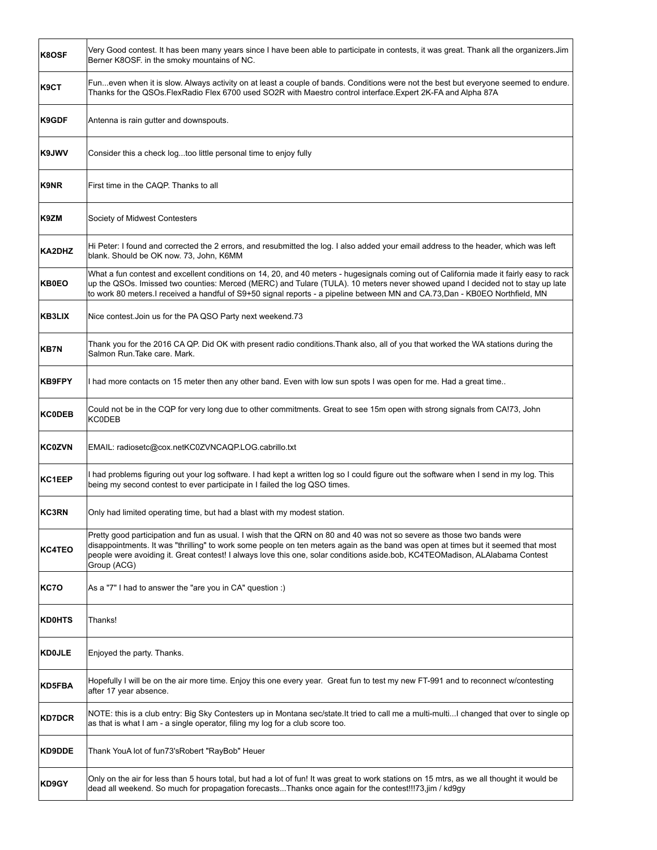| K8OSF         | Very Good contest. It has been many years since I have been able to participate in contests, it was great. Thank all the organizers.Jim<br>Berner K8OSF, in the smoky mountains of NC.                                                                                                                                                                                                                     |
|---------------|------------------------------------------------------------------------------------------------------------------------------------------------------------------------------------------------------------------------------------------------------------------------------------------------------------------------------------------------------------------------------------------------------------|
| K9CT          | Funeven when it is slow. Always activity on at least a couple of bands. Conditions were not the best but everyone seemed to endure.<br>Thanks for the QSOs.FlexRadio Flex 6700 used SO2R with Maestro control interface.Expert 2K-FA and Alpha 87A                                                                                                                                                         |
| K9GDF         | Antenna is rain gutter and downspouts.                                                                                                                                                                                                                                                                                                                                                                     |
| K9JWV         | Consider this a check logtoo little personal time to enjoy fully                                                                                                                                                                                                                                                                                                                                           |
| K9NR          | First time in the CAQP. Thanks to all                                                                                                                                                                                                                                                                                                                                                                      |
| K9ZM          | Society of Midwest Contesters                                                                                                                                                                                                                                                                                                                                                                              |
| KA2DHZ        | Hi Peter: I found and corrected the 2 errors, and resubmitted the log. I also added your email address to the header, which was left<br>blank. Should be OK now. 73, John, K6MM                                                                                                                                                                                                                            |
| <b>KB0EO</b>  | What a fun contest and excellent conditions on 14, 20, and 40 meters - hugesignals coming out of California made it fairly easy to rack<br>up the QSOs. Imissed two counties: Merced (MERC) and Tulare (TULA). 10 meters never showed upand I decided not to stay up late<br>to work 80 meters. I received a handful of S9+50 signal reports - a pipeline between MN and CA.73,Dan - KB0EO Northfield, MN  |
| KB3LIX        | Nice contest. Join us for the PA QSO Party next weekend. 73                                                                                                                                                                                                                                                                                                                                                |
| <b>KB7N</b>   | Thank you for the 2016 CA QP. Did OK with present radio conditions. Thank also, all of you that worked the WA stations during the<br>Salmon Run. Take care. Mark.                                                                                                                                                                                                                                          |
| KB9FPY        | I had more contacts on 15 meter then any other band. Even with low sun spots I was open for me. Had a great time                                                                                                                                                                                                                                                                                           |
| <b>KC0DEB</b> | Could not be in the CQP for very long due to other commitments. Great to see 15m open with strong signals from CA!73, John<br><b>KC0DEB</b>                                                                                                                                                                                                                                                                |
| <b>KC0ZVN</b> | EMAIL: radiosetc@cox.netKC0ZVNCAQP.LOG.cabrillo.txt                                                                                                                                                                                                                                                                                                                                                        |
| KC1EEP        | I had problems figuring out your log software. I had kept a written log so I could figure out the software when I send in my log. This<br>being my second contest to ever participate in I failed the log QSO times.                                                                                                                                                                                       |
| <b>KC3RN</b>  | Only had limited operating time, but had a blast with my modest station.                                                                                                                                                                                                                                                                                                                                   |
| <b>KC4TEO</b> | Pretty good participation and fun as usual. I wish that the QRN on 80 and 40 was not so severe as those two bands were<br>disappointments. It was "thrilling" to work some people on ten meters again as the band was open at times but it seemed that most<br>people were avoiding it. Great contest! I always love this one, solar conditions aside.bob, KC4TEOMadison, ALAlabama Contest<br>Group (ACG) |
| <b>KC70</b>   | As a "7" I had to answer the "are you in CA" question :)                                                                                                                                                                                                                                                                                                                                                   |
| <b>KD0HTS</b> | Thanks!                                                                                                                                                                                                                                                                                                                                                                                                    |
| <b>KD0JLE</b> | Enjoyed the party. Thanks.                                                                                                                                                                                                                                                                                                                                                                                 |
| KD5FBA        | Hopefully I will be on the air more time. Enjoy this one every year. Great fun to test my new FT-991 and to reconnect w/contesting<br>after 17 year absence.                                                                                                                                                                                                                                               |
| <b>KD7DCR</b> | NOTE: this is a club entry: Big Sky Contesters up in Montana sec/state.It tried to call me a multi-multiI changed that over to single op<br>as that is what I am - a single operator, filing my log for a club score too.                                                                                                                                                                                  |
| KD9DDE        | Thank YouA lot of fun73'sRobert "RayBob" Heuer                                                                                                                                                                                                                                                                                                                                                             |
| KD9GY         | Only on the air for less than 5 hours total, but had a lot of fun! It was great to work stations on 15 mtrs, as we all thought it would be<br>dead all weekend. So much for propagation forecastsThanks once again for the contest!!!73.jim / kd9gy                                                                                                                                                        |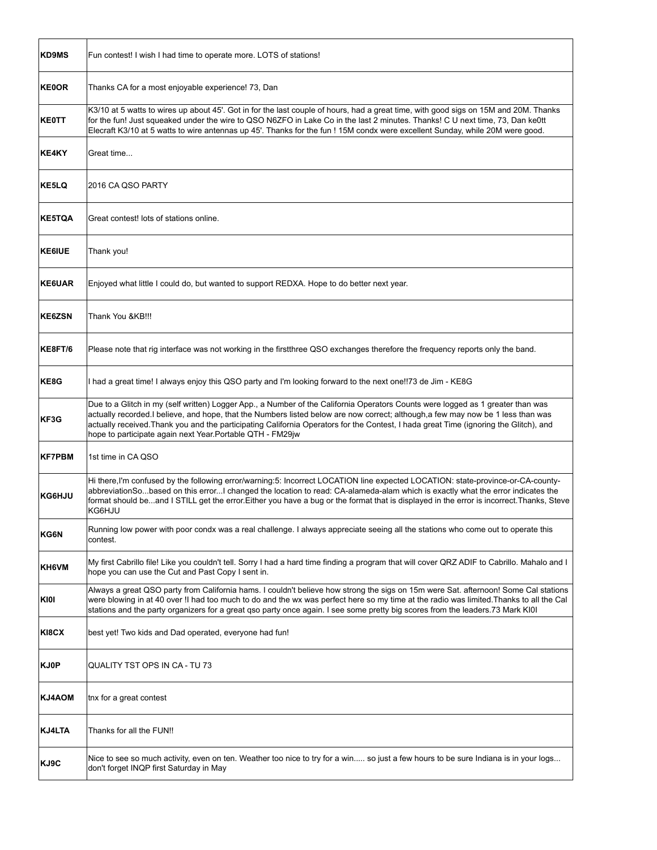| <b>KD9MS</b>  | Fun contest! I wish I had time to operate more. LOTS of stations!                                                                                                                                                                                                                                                                                                                                                                                                           |
|---------------|-----------------------------------------------------------------------------------------------------------------------------------------------------------------------------------------------------------------------------------------------------------------------------------------------------------------------------------------------------------------------------------------------------------------------------------------------------------------------------|
| <b>KE0OR</b>  | Thanks CA for a most enjoyable experience! 73, Dan                                                                                                                                                                                                                                                                                                                                                                                                                          |
| <b>KE0TT</b>  | K3/10 at 5 watts to wires up about 45'. Got in for the last couple of hours, had a great time, with good sigs on 15M and 20M. Thanks<br>for the fun! Just squeaked under the wire to QSO N6ZFO in Lake Co in the last 2 minutes. Thanks! C U next time, 73, Dan ke0tt<br>Elecraft K3/10 at 5 watts to wire antennas up 45'. Thanks for the fun! 15M condx were excellent Sunday, while 20M were good.                                                                       |
| KE4KY         | Great time                                                                                                                                                                                                                                                                                                                                                                                                                                                                  |
| KE5LQ         | 2016 CA QSO PARTY                                                                                                                                                                                                                                                                                                                                                                                                                                                           |
| <b>KE5TQA</b> | Great contest! lots of stations online.                                                                                                                                                                                                                                                                                                                                                                                                                                     |
| <b>KE6IUE</b> | Thank you!                                                                                                                                                                                                                                                                                                                                                                                                                                                                  |
| <b>KE6UAR</b> | Enjoyed what little I could do, but wanted to support REDXA. Hope to do better next year.                                                                                                                                                                                                                                                                                                                                                                                   |
| <b>KE6ZSN</b> | Thank You &KB!!!                                                                                                                                                                                                                                                                                                                                                                                                                                                            |
| KE8FT/6       | Please note that rig interface was not working in the firstthree QSO exchanges therefore the frequency reports only the band.                                                                                                                                                                                                                                                                                                                                               |
| KE8G          | I had a great time! I always enjoy this QSO party and I'm looking forward to the next one!!73 de Jim - KE8G                                                                                                                                                                                                                                                                                                                                                                 |
| KF3G          | Due to a Glitch in my (self written) Logger App., a Number of the California Operators Counts were logged as 1 greater than was<br>actually recorded. I believe, and hope, that the Numbers listed below are now correct; although, a few may now be 1 less than was<br>actually received. Thank you and the participating California Operators for the Contest, I hada great Time (ignoring the Glitch), and<br>hope to participate again next Year. Portable QTH - FM29jw |
| <b>KF7PBM</b> | 1st time in CA QSO                                                                                                                                                                                                                                                                                                                                                                                                                                                          |
| KG6HJU        | Hi there, I'm confused by the following error/warning: 5: Incorrect LOCATION line expected LOCATION: state-province-or-CA-county-<br>abbreviationSobased on this errorI changed the location to read: CA-alameda-alam which is exactly what the error indicates the<br>format should beand I STILL get the error. Either you have a bug or the format that is displayed in the error is incorrect. Thanks, Steve<br>KG6HJU                                                  |
| KG6N          | Running low power with poor condx was a real challenge. I always appreciate seeing all the stations who come out to operate this<br>contest.                                                                                                                                                                                                                                                                                                                                |
| KH6VM         | My first Cabrillo file! Like you couldn't tell. Sorry I had a hard time finding a program that will cover QRZ ADIF to Cabrillo. Mahalo and I<br>hope you can use the Cut and Past Copy I sent in.                                                                                                                                                                                                                                                                           |
| KIOI          | Always a great QSO party from California hams. I couldn't believe how strong the sigs on 15m were Sat. afternoon! Some Cal stations<br>were blowing in at 40 over !! had too much to do and the wx was perfect here so my time at the radio was limited. Thanks to all the Cal<br>stations and the party organizers for a great qso party once again. I see some pretty big scores from the leaders.73 Mark KI0I                                                            |
| KI8CX         | best yet! Two kids and Dad operated, everyone had fun!                                                                                                                                                                                                                                                                                                                                                                                                                      |
| <b>KJ0P</b>   | QUALITY TST OPS IN CA - TU 73                                                                                                                                                                                                                                                                                                                                                                                                                                               |
| <b>KJ4AOM</b> | tnx for a great contest                                                                                                                                                                                                                                                                                                                                                                                                                                                     |
| <b>KJ4LTA</b> | Thanks for all the FUN!!                                                                                                                                                                                                                                                                                                                                                                                                                                                    |
| KJ9C          | Nice to see so much activity, even on ten. Weather too nice to try for a win so just a few hours to be sure Indiana is in your logs<br>don't forget INQP first Saturday in May                                                                                                                                                                                                                                                                                              |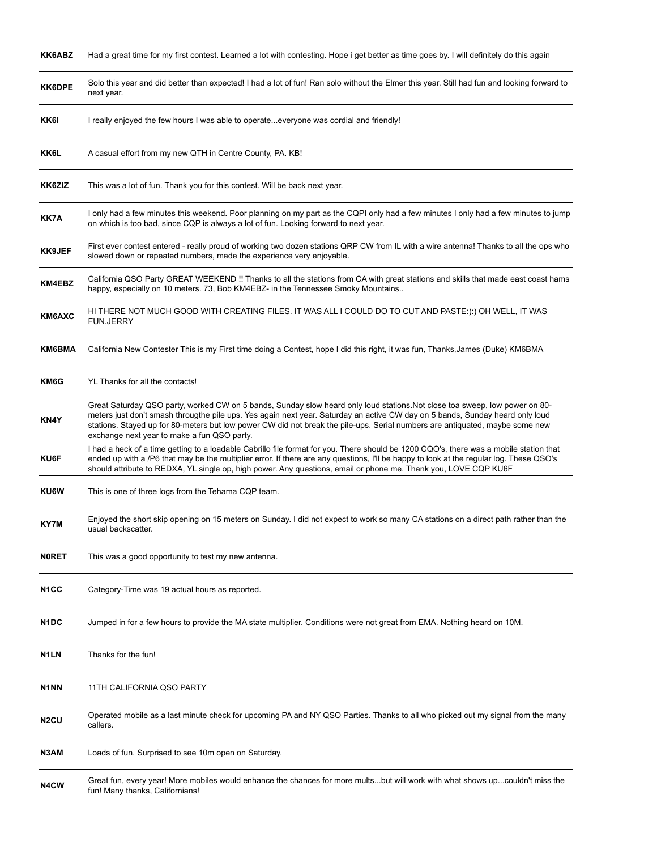| KK6ABZ                        | Had a great time for my first contest. Learned a lot with contesting. Hope i get better as time goes by. I will definitely do this again                                                                                                                                                                                                                                                                                                    |
|-------------------------------|---------------------------------------------------------------------------------------------------------------------------------------------------------------------------------------------------------------------------------------------------------------------------------------------------------------------------------------------------------------------------------------------------------------------------------------------|
| <b>KK6DPE</b>                 | Solo this year and did better than expected! I had a lot of fun! Ran solo without the Elmer this year. Still had fun and looking forward to<br>next year.                                                                                                                                                                                                                                                                                   |
| KK6I                          | I really enjoyed the few hours I was able to operateeveryone was cordial and friendly!                                                                                                                                                                                                                                                                                                                                                      |
| KK6L                          | A casual effort from my new QTH in Centre County, PA. KB!                                                                                                                                                                                                                                                                                                                                                                                   |
| KK6ZIZ                        | This was a lot of fun. Thank you for this contest. Will be back next year.                                                                                                                                                                                                                                                                                                                                                                  |
| KK7A                          | I only had a few minutes this weekend. Poor planning on my part as the CQPI only had a few minutes I only had a few minutes to jump<br>on which is too bad, since CQP is always a lot of fun. Looking forward to next year.                                                                                                                                                                                                                 |
| <b>KK9JEF</b>                 | First ever contest entered - really proud of working two dozen stations QRP CW from IL with a wire antenna! Thanks to all the ops who<br>slowed down or repeated numbers, made the experience very enjoyable.                                                                                                                                                                                                                               |
| <b>KM4EBZ</b>                 | California QSO Party GREAT WEEKEND !! Thanks to all the stations from CA with great stations and skills that made east coast hams<br>happy, especially on 10 meters. 73, Bob KM4EBZ- in the Tennessee Smoky Mountains                                                                                                                                                                                                                       |
| KM6AXC                        | HI THERE NOT MUCH GOOD WITH CREATING FILES. IT WAS ALL I COULD DO TO CUT AND PASTE:):) OH WELL, IT WAS<br><b>FUN.JERRY</b>                                                                                                                                                                                                                                                                                                                  |
| KM6BMA                        | California New Contester This is my First time doing a Contest, hope I did this right, it was fun, Thanks, James (Duke) KM6BMA                                                                                                                                                                                                                                                                                                              |
| KM6G                          | YL Thanks for all the contacts!                                                                                                                                                                                                                                                                                                                                                                                                             |
| KN4Y                          | Great Saturday QSO party, worked CW on 5 bands, Sunday slow heard only loud stations. Not close toa sweep, low power on 80-<br>meters just don't smash througthe pile ups. Yes again next year. Saturday an active CW day on 5 bands, Sunday heard only loud<br>stations. Stayed up for 80-meters but low power CW did not break the pile-ups. Serial numbers are antiquated, maybe some new<br>exchange next year to make a fun QSO party. |
| KU6F                          | I had a heck of a time getting to a loadable Cabrillo file format for you. There should be 1200 CQO's, there was a mobile station that<br>ended up with a /P6 that may be the multiplier error. If there are any questions, I'll be happy to look at the regular log. These QSO's<br>should attribute to REDXA, YL single op, high power. Any questions, email or phone me. Thank you, LOVE CQP KU6F                                        |
| <b>KU6W</b>                   | This is one of three logs from the Tehama CQP team.                                                                                                                                                                                                                                                                                                                                                                                         |
| KY7M                          | Enjoyed the short skip opening on 15 meters on Sunday. I did not expect to work so many CA stations on a direct path rather than the<br>usual backscatter.                                                                                                                                                                                                                                                                                  |
| <b>NORET</b>                  | This was a good opportunity to test my new antenna.                                                                                                                                                                                                                                                                                                                                                                                         |
| N <sub>1</sub> CC             | Category-Time was 19 actual hours as reported.                                                                                                                                                                                                                                                                                                                                                                                              |
| N1DC                          | Jumped in for a few hours to provide the MA state multiplier. Conditions were not great from EMA. Nothing heard on 10M.                                                                                                                                                                                                                                                                                                                     |
| N <sub>1</sub> LN             | Thanks for the fun!                                                                                                                                                                                                                                                                                                                                                                                                                         |
| N <sub>1</sub> N <sub>N</sub> | 11TH CALIFORNIA QSO PARTY                                                                                                                                                                                                                                                                                                                                                                                                                   |
| N <sub>2</sub> CU             | Operated mobile as a last minute check for upcoming PA and NY QSO Parties. Thanks to all who picked out my signal from the many<br>callers.                                                                                                                                                                                                                                                                                                 |
| N3AM                          | Loads of fun. Surprised to see 10m open on Saturday.                                                                                                                                                                                                                                                                                                                                                                                        |
| N4CW                          | Great fun, every year! More mobiles would enhance the chances for more multsbut will work with what shows upcouldn't miss the<br>fun! Many thanks, Californians!                                                                                                                                                                                                                                                                            |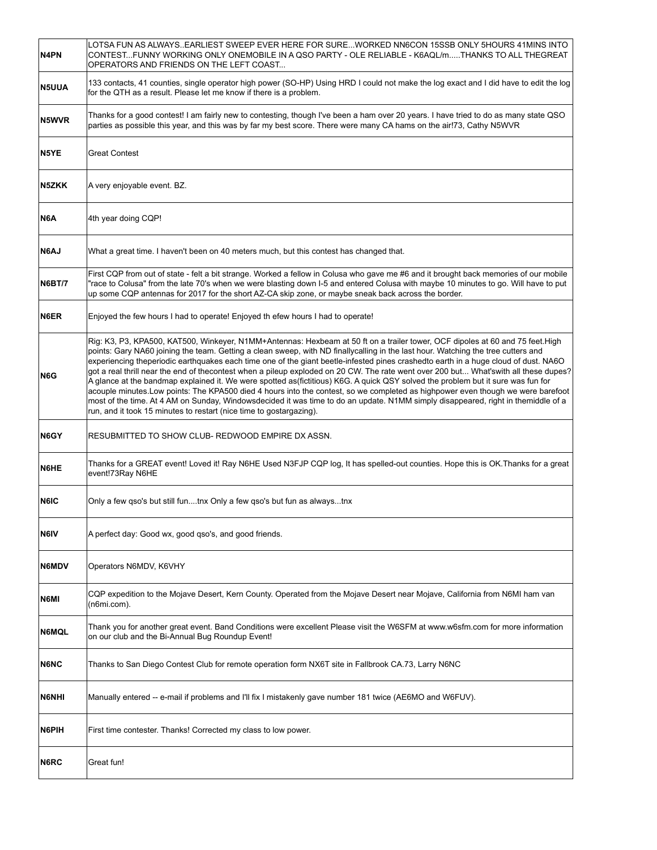| N4PN          | LOTSA FUN AS ALWAYS. EARLIEST SWEEP EVER HERE FOR SUREWORKED NN6CON 15SSB ONLY 5HOURS 41MINS INTO<br>CONTESTFUNNY WORKING ONLY ONEMOBILE IN A QSO PARTY - OLE RELIABLE - K6AQL/mTHANKS TO ALL THEGREAT<br>OPERATORS AND FRIENDS ON THE LEFT COAST                                                                                                                                                                                                                                                                                                                                                                                                                                                                                                                                                                                                                                                                                                                                                                                     |
|---------------|---------------------------------------------------------------------------------------------------------------------------------------------------------------------------------------------------------------------------------------------------------------------------------------------------------------------------------------------------------------------------------------------------------------------------------------------------------------------------------------------------------------------------------------------------------------------------------------------------------------------------------------------------------------------------------------------------------------------------------------------------------------------------------------------------------------------------------------------------------------------------------------------------------------------------------------------------------------------------------------------------------------------------------------|
| <b>N5UUA</b>  | 133 contacts, 41 counties, single operator high power (SO-HP) Using HRD I could not make the log exact and I did have to edit the log<br>for the QTH as a result. Please let me know if there is a problem.                                                                                                                                                                                                                                                                                                                                                                                                                                                                                                                                                                                                                                                                                                                                                                                                                           |
| N5WVR         | Thanks for a good contest! I am fairly new to contesting, though I've been a ham over 20 years. I have tried to do as many state QSO<br>parties as possible this year, and this was by far my best score. There were many CA hams on the air!73, Cathy N5WVR                                                                                                                                                                                                                                                                                                                                                                                                                                                                                                                                                                                                                                                                                                                                                                          |
| N5YE          | <b>Great Contest</b>                                                                                                                                                                                                                                                                                                                                                                                                                                                                                                                                                                                                                                                                                                                                                                                                                                                                                                                                                                                                                  |
| N5ZKK         | A very enjoyable event. BZ.                                                                                                                                                                                                                                                                                                                                                                                                                                                                                                                                                                                                                                                                                                                                                                                                                                                                                                                                                                                                           |
| N6A           | 4th year doing CQP!                                                                                                                                                                                                                                                                                                                                                                                                                                                                                                                                                                                                                                                                                                                                                                                                                                                                                                                                                                                                                   |
| <b>N6AJ</b>   | What a great time. I haven't been on 40 meters much, but this contest has changed that.                                                                                                                                                                                                                                                                                                                                                                                                                                                                                                                                                                                                                                                                                                                                                                                                                                                                                                                                               |
| <b>N6BT/7</b> | First CQP from out of state - felt a bit strange. Worked a fellow in Colusa who gave me #6 and it brought back memories of our mobile<br>"race to Colusa" from the late 70's when we were blasting down I-5 and entered Colusa with maybe 10 minutes to go. Will have to put<br>up some CQP antennas for 2017 for the short AZ-CA skip zone, or maybe sneak back across the border.                                                                                                                                                                                                                                                                                                                                                                                                                                                                                                                                                                                                                                                   |
| N6ER          | Enjoyed the few hours I had to operate! Enjoyed th efew hours I had to operate!                                                                                                                                                                                                                                                                                                                                                                                                                                                                                                                                                                                                                                                                                                                                                                                                                                                                                                                                                       |
| N6G           | Rig: K3, P3, KPA500, KAT500, Winkeyer, N1MM+Antennas: Hexbeam at 50 ft on a trailer tower, OCF dipoles at 60 and 75 feet.High<br>points: Gary NA60 joining the team. Getting a clean sweep, with ND finallycalling in the last hour. Watching the tree cutters and<br>experiencing theperiodic earthquakes each time one of the giant beetle-infested pines crashedto earth in a huge cloud of dust. NA6O<br>got a real thrill near the end of thecontest when a pileup exploded on 20 CW. The rate went over 200 but What'swith all these dupes?<br>A glance at the bandmap explained it. We were spotted as(fictitious) K6G. A quick QSY solved the problem but it sure was fun for<br>acouple minutes. Low points: The KPA500 died 4 hours into the contest, so we completed as highpower even though we were barefoot<br>most of the time. At 4 AM on Sunday, Windowsdecided it was time to do an update. N1MM simply disappeared, right in themiddle of a<br>run, and it took 15 minutes to restart (nice time to gostargazing). |
| N6GY          | RESUBMITTED TO SHOW CLUB- REDWOOD EMPIRE DX ASSN.                                                                                                                                                                                                                                                                                                                                                                                                                                                                                                                                                                                                                                                                                                                                                                                                                                                                                                                                                                                     |
| N6HE          | Thanks for a GREAT event! Loved it! Ray N6HE Used N3FJP CQP log, It has spelled-out counties. Hope this is OK.Thanks for a great<br>event!73Ray N6HE                                                                                                                                                                                                                                                                                                                                                                                                                                                                                                                                                                                                                                                                                                                                                                                                                                                                                  |
| N6IC          | Only a few qso's but still funtnx Only a few qso's but fun as alwaystnx                                                                                                                                                                                                                                                                                                                                                                                                                                                                                                                                                                                                                                                                                                                                                                                                                                                                                                                                                               |
| N6IV          | A perfect day: Good wx, good gso's, and good friends.                                                                                                                                                                                                                                                                                                                                                                                                                                                                                                                                                                                                                                                                                                                                                                                                                                                                                                                                                                                 |
| <b>N6MDV</b>  | Operators N6MDV, K6VHY                                                                                                                                                                                                                                                                                                                                                                                                                                                                                                                                                                                                                                                                                                                                                                                                                                                                                                                                                                                                                |
| N6MI          | CQP expedition to the Mojave Desert, Kern County. Operated from the Mojave Desert near Mojave, California from N6MI ham van<br>(n6mi.com).                                                                                                                                                                                                                                                                                                                                                                                                                                                                                                                                                                                                                                                                                                                                                                                                                                                                                            |
| <b>N6MQL</b>  | Thank you for another great event. Band Conditions were excellent Please visit the W6SFM at www.w6sfm.com for more information<br>on our club and the Bi-Annual Bug Roundup Event!                                                                                                                                                                                                                                                                                                                                                                                                                                                                                                                                                                                                                                                                                                                                                                                                                                                    |
| <b>N6NC</b>   | Thanks to San Diego Contest Club for remote operation form NX6T site in Fallbrook CA.73, Larry N6NC                                                                                                                                                                                                                                                                                                                                                                                                                                                                                                                                                                                                                                                                                                                                                                                                                                                                                                                                   |
| <b>N6NHI</b>  | Manually entered -- e-mail if problems and I'll fix I mistakenly gave number 181 twice (AE6MO and W6FUV).                                                                                                                                                                                                                                                                                                                                                                                                                                                                                                                                                                                                                                                                                                                                                                                                                                                                                                                             |
| N6PIH         | First time contester. Thanks! Corrected my class to low power.                                                                                                                                                                                                                                                                                                                                                                                                                                                                                                                                                                                                                                                                                                                                                                                                                                                                                                                                                                        |
| N6RC          | Great fun!                                                                                                                                                                                                                                                                                                                                                                                                                                                                                                                                                                                                                                                                                                                                                                                                                                                                                                                                                                                                                            |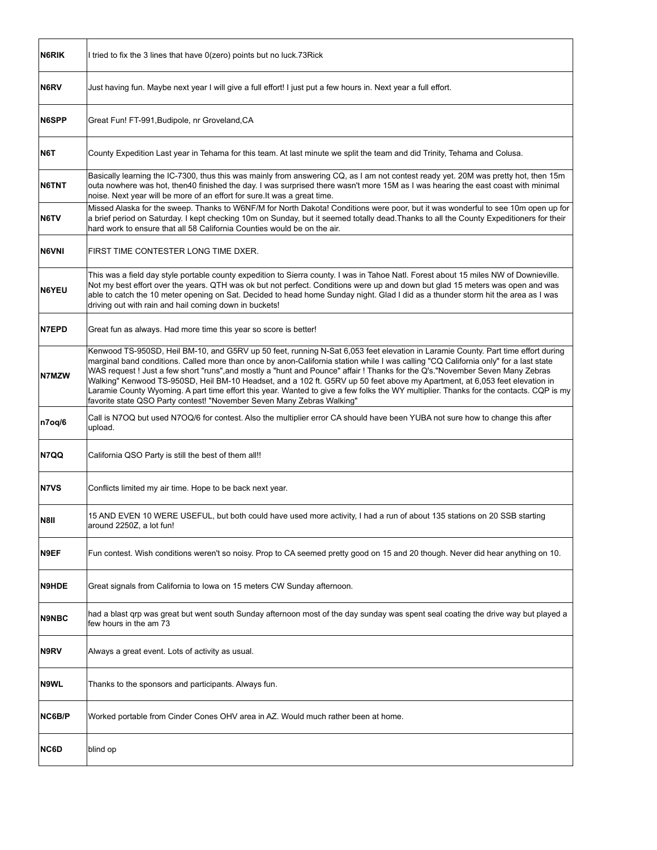| N6RIK        | I tried to fix the 3 lines that have 0(zero) points but no luck.73Rick                                                                                                                                                                                                                                                                                                                                                                                                                                                                                                                                                                                                                                                                                     |
|--------------|------------------------------------------------------------------------------------------------------------------------------------------------------------------------------------------------------------------------------------------------------------------------------------------------------------------------------------------------------------------------------------------------------------------------------------------------------------------------------------------------------------------------------------------------------------------------------------------------------------------------------------------------------------------------------------------------------------------------------------------------------------|
| N6RV         | Just having fun. Maybe next year I will give a full effort! I just put a few hours in. Next year a full effort.                                                                                                                                                                                                                                                                                                                                                                                                                                                                                                                                                                                                                                            |
| <b>N6SPP</b> | Great Fun! FT-991, Budipole, nr Groveland, CA                                                                                                                                                                                                                                                                                                                                                                                                                                                                                                                                                                                                                                                                                                              |
| N6T          | County Expedition Last year in Tehama for this team. At last minute we split the team and did Trinity, Tehama and Colusa.                                                                                                                                                                                                                                                                                                                                                                                                                                                                                                                                                                                                                                  |
| N6TNT        | Basically learning the IC-7300, thus this was mainly from answering CQ, as I am not contest ready yet. 20M was pretty hot, then 15m<br>outa nowhere was hot, then40 finished the day. I was surprised there wasn't more 15M as I was hearing the east coast with minimal<br>noise. Next year will be more of an effort for sure. It was a great time.                                                                                                                                                                                                                                                                                                                                                                                                      |
| N6TV         | Missed Alaska for the sweep. Thanks to W6NF/M for North Dakota! Conditions were poor, but it was wonderful to see 10m open up for<br>a brief period on Saturday. I kept checking 10m on Sunday, but it seemed totally dead. Thanks to all the County Expeditioners for their<br>hard work to ensure that all 58 California Counties would be on the air.                                                                                                                                                                                                                                                                                                                                                                                                   |
| <b>N6VNI</b> | FIRST TIME CONTESTER LONG TIME DXER.                                                                                                                                                                                                                                                                                                                                                                                                                                                                                                                                                                                                                                                                                                                       |
| <b>N6YEU</b> | This was a field day style portable county expedition to Sierra county. I was in Tahoe Natl. Forest about 15 miles NW of Downieville.<br>Not my best effort over the years. QTH was ok but not perfect. Conditions were up and down but glad 15 meters was open and was<br>able to catch the 10 meter opening on Sat. Decided to head home Sunday night. Glad I did as a thunder storm hit the area as I was<br>driving out with rain and hail coming down in buckets!                                                                                                                                                                                                                                                                                     |
| <b>N7EPD</b> | Great fun as always. Had more time this year so score is better!                                                                                                                                                                                                                                                                                                                                                                                                                                                                                                                                                                                                                                                                                           |
| N7MZW        | Kenwood TS-950SD, Heil BM-10, and G5RV up 50 feet, running N-Sat 6,053 feet elevation in Laramie County. Part time effort during<br>marginal band conditions. Called more than once by anon-California station while I was calling "CQ California only" for a last state<br>WAS request! Just a few short "runs", and mostly a "hunt and Pounce" affair! Thanks for the Q's."November Seven Many Zebras<br>Walking" Kenwood TS-950SD, Heil BM-10 Headset, and a 102 ft. G5RV up 50 feet above my Apartment, at 6,053 feet elevation in<br>Laramie County Wyoming. A part time effort this year. Wanted to give a few folks the WY multiplier. Thanks for the contacts. CQP is my<br>favorite state QSO Party contest! "November Seven Many Zebras Walking" |
| n7oq/6       | Call is N7OQ but used N7OQ/6 for contest. Also the multiplier error CA should have been YUBA not sure how to change this after<br>upload.                                                                                                                                                                                                                                                                                                                                                                                                                                                                                                                                                                                                                  |
| N7QQ         | California QSO Party is still the best of them all!!                                                                                                                                                                                                                                                                                                                                                                                                                                                                                                                                                                                                                                                                                                       |
| <b>N7VS</b>  | Conflicts limited my air time. Hope to be back next year.                                                                                                                                                                                                                                                                                                                                                                                                                                                                                                                                                                                                                                                                                                  |
| N8II         | 15 AND EVEN 10 WERE USEFUL, but both could have used more activity, I had a run of about 135 stations on 20 SSB starting<br>around 2250Z, a lot fun!                                                                                                                                                                                                                                                                                                                                                                                                                                                                                                                                                                                                       |
| N9EF         | Fun contest. Wish conditions weren't so noisy. Prop to CA seemed pretty good on 15 and 20 though. Never did hear anything on 10.                                                                                                                                                                                                                                                                                                                                                                                                                                                                                                                                                                                                                           |
| <b>N9HDE</b> | Great signals from California to Iowa on 15 meters CW Sunday afternoon.                                                                                                                                                                                                                                                                                                                                                                                                                                                                                                                                                                                                                                                                                    |
| <b>N9NBC</b> | had a blast grp was great but went south Sunday afternoon most of the day sunday was spent seal coating the drive way but played a<br>few hours in the am 73                                                                                                                                                                                                                                                                                                                                                                                                                                                                                                                                                                                               |
| N9RV         | Always a great event. Lots of activity as usual.                                                                                                                                                                                                                                                                                                                                                                                                                                                                                                                                                                                                                                                                                                           |
| N9WL         | Thanks to the sponsors and participants. Always fun.                                                                                                                                                                                                                                                                                                                                                                                                                                                                                                                                                                                                                                                                                                       |
| NC6B/P       | Worked portable from Cinder Cones OHV area in AZ. Would much rather been at home.                                                                                                                                                                                                                                                                                                                                                                                                                                                                                                                                                                                                                                                                          |
| NC6D         | blind op                                                                                                                                                                                                                                                                                                                                                                                                                                                                                                                                                                                                                                                                                                                                                   |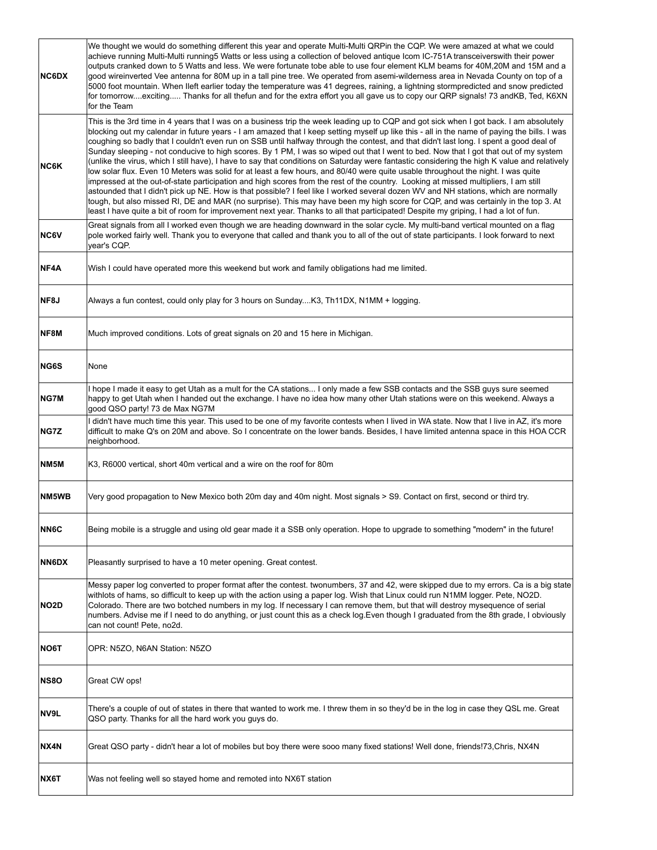| <b>NC6DX</b>      | We thought we would do something different this year and operate Multi-Multi QRPin the CQP. We were amazed at what we could<br>achieve running Multi-Multi running5 Watts or less using a collection of beloved antique Icom IC-751A transceiverswith their power<br>outputs cranked down to 5 Watts and less. We were fortunate tobe able to use four element KLM beams for 40M,20M and 15M and a<br>good wireinverted Vee antenna for 80M up in a tall pine tree. We operated from asemi-wilderness area in Nevada County on top of a<br>5000 foot mountain. When lleft earlier today the temperature was 41 degrees, raining, a lightning stormpredicted and snow predicted<br>for tomorrowexciting Thanks for all thefun and for the extra effort you all gave us to copy our QRP signals! 73 and KB, Ted, K6XN<br>for the Team                                                                                                                                                                                                                                                                                                                                                                                                                                                                                                                                                                                    |
|-------------------|------------------------------------------------------------------------------------------------------------------------------------------------------------------------------------------------------------------------------------------------------------------------------------------------------------------------------------------------------------------------------------------------------------------------------------------------------------------------------------------------------------------------------------------------------------------------------------------------------------------------------------------------------------------------------------------------------------------------------------------------------------------------------------------------------------------------------------------------------------------------------------------------------------------------------------------------------------------------------------------------------------------------------------------------------------------------------------------------------------------------------------------------------------------------------------------------------------------------------------------------------------------------------------------------------------------------------------------------------------------------------------------------------------------------|
| NC6K              | This is the 3rd time in 4 years that I was on a business trip the week leading up to CQP and got sick when I got back. I am absolutely<br>blocking out my calendar in future years - I am amazed that I keep setting myself up like this - all in the name of paying the bills. I was<br>coughing so badly that I couldn't even run on SSB until halfway through the contest, and that didn't last long. I spent a good deal of<br>Sunday sleeping - not conducive to high scores. By 1 PM, I was so wiped out that I went to bed. Now that I got that out of my system<br>(unlike the virus, which I still have), I have to say that conditions on Saturday were fantastic considering the high K value and relatively<br>low solar flux. Even 10 Meters was solid for at least a few hours, and 80/40 were quite usable throughout the night. I was quite<br>impressed at the out-of-state participation and high scores from the rest of the country. Looking at missed multipliers, I am still<br>astounded that I didn't pick up NE. How is that possible? I feel like I worked several dozen WV and NH stations, which are normally<br>tough, but also missed RI, DE and MAR (no surprise). This may have been my high score for CQP, and was certainly in the top 3. At<br>least I have quite a bit of room for improvement next year. Thanks to all that participated! Despite my griping, I had a lot of fun. |
| <b>NC6V</b>       | Great signals from all I worked even though we are heading downward in the solar cycle. My multi-band vertical mounted on a flag<br>pole worked fairly well. Thank you to everyone that called and thank you to all of the out of state participants. I look forward to next<br>vear's CQP.                                                                                                                                                                                                                                                                                                                                                                                                                                                                                                                                                                                                                                                                                                                                                                                                                                                                                                                                                                                                                                                                                                                            |
| NF4A              | Wish I could have operated more this weekend but work and family obligations had me limited.                                                                                                                                                                                                                                                                                                                                                                                                                                                                                                                                                                                                                                                                                                                                                                                                                                                                                                                                                                                                                                                                                                                                                                                                                                                                                                                           |
| NF8J              | Always a fun contest, could only play for 3 hours on SundayK3, Th11DX, N1MM + logging.                                                                                                                                                                                                                                                                                                                                                                                                                                                                                                                                                                                                                                                                                                                                                                                                                                                                                                                                                                                                                                                                                                                                                                                                                                                                                                                                 |
| NF8M              | Much improved conditions. Lots of great signals on 20 and 15 here in Michigan.                                                                                                                                                                                                                                                                                                                                                                                                                                                                                                                                                                                                                                                                                                                                                                                                                                                                                                                                                                                                                                                                                                                                                                                                                                                                                                                                         |
| NG6S              | None                                                                                                                                                                                                                                                                                                                                                                                                                                                                                                                                                                                                                                                                                                                                                                                                                                                                                                                                                                                                                                                                                                                                                                                                                                                                                                                                                                                                                   |
| NG7M              | I hope I made it easy to get Utah as a mult for the CA stations I only made a few SSB contacts and the SSB guys sure seemed<br>happy to get Utah when I handed out the exchange. I have no idea how many other Utah stations were on this weekend. Always a<br>good QSO party! 73 de Max NG7M                                                                                                                                                                                                                                                                                                                                                                                                                                                                                                                                                                                                                                                                                                                                                                                                                                                                                                                                                                                                                                                                                                                          |
| NG7Z              | I didn't have much time this year. This used to be one of my favorite contests when I lived in WA state. Now that I live in AZ, it's more<br>difficult to make Q's on 20M and above. So I concentrate on the lower bands. Besides, I have limited antenna space in this HOA CCR<br>neighborhood.                                                                                                                                                                                                                                                                                                                                                                                                                                                                                                                                                                                                                                                                                                                                                                                                                                                                                                                                                                                                                                                                                                                       |
| NM <sub>5</sub> M | K3, R6000 vertical, short 40m vertical and a wire on the roof for 80m                                                                                                                                                                                                                                                                                                                                                                                                                                                                                                                                                                                                                                                                                                                                                                                                                                                                                                                                                                                                                                                                                                                                                                                                                                                                                                                                                  |
| NM5WB             | Very good propagation to New Mexico both 20m day and 40m night. Most signals > S9. Contact on first, second or third try.                                                                                                                                                                                                                                                                                                                                                                                                                                                                                                                                                                                                                                                                                                                                                                                                                                                                                                                                                                                                                                                                                                                                                                                                                                                                                              |
| NN6C              | Being mobile is a struggle and using old gear made it a SSB only operation. Hope to upgrade to something "modern" in the future!                                                                                                                                                                                                                                                                                                                                                                                                                                                                                                                                                                                                                                                                                                                                                                                                                                                                                                                                                                                                                                                                                                                                                                                                                                                                                       |
| <b>NN6DX</b>      | Pleasantly surprised to have a 10 meter opening. Great contest.                                                                                                                                                                                                                                                                                                                                                                                                                                                                                                                                                                                                                                                                                                                                                                                                                                                                                                                                                                                                                                                                                                                                                                                                                                                                                                                                                        |
| NO <sub>2</sub> D | Messy paper log converted to proper format after the contest. twonumbers, 37 and 42, were skipped due to my errors. Ca is a big state<br>withlots of hams, so difficult to keep up with the action using a paper log. Wish that Linux could run N1MM logger. Pete, NO2D.<br>Colorado. There are two botched numbers in my log. If necessary I can remove them, but that will destroy mysequence of serial<br>numbers. Advise me if I need to do anything, or just count this as a check log.Even though I graduated from the 8th grade, I obviously<br>can not count! Pete, no2d.                                                                                                                                                                                                                                                                                                                                                                                                                                                                                                                                                                                                                                                                                                                                                                                                                                      |
| <b>NO6T</b>       | OPR: N5ZO, N6AN Station: N5ZO                                                                                                                                                                                                                                                                                                                                                                                                                                                                                                                                                                                                                                                                                                                                                                                                                                                                                                                                                                                                                                                                                                                                                                                                                                                                                                                                                                                          |
| <b>NS80</b>       | Great CW ops!                                                                                                                                                                                                                                                                                                                                                                                                                                                                                                                                                                                                                                                                                                                                                                                                                                                                                                                                                                                                                                                                                                                                                                                                                                                                                                                                                                                                          |
| NV9L              | There's a couple of out of states in there that wanted to work me. I threw them in so they'd be in the log in case they QSL me. Great<br>QSO party. Thanks for all the hard work you guys do.                                                                                                                                                                                                                                                                                                                                                                                                                                                                                                                                                                                                                                                                                                                                                                                                                                                                                                                                                                                                                                                                                                                                                                                                                          |
| NX4N              | Great QSO party - didn't hear a lot of mobiles but boy there were sooo many fixed stations! Well done, friends!73,Chris, NX4N                                                                                                                                                                                                                                                                                                                                                                                                                                                                                                                                                                                                                                                                                                                                                                                                                                                                                                                                                                                                                                                                                                                                                                                                                                                                                          |
| NX6T              | Was not feeling well so stayed home and remoted into NX6T station                                                                                                                                                                                                                                                                                                                                                                                                                                                                                                                                                                                                                                                                                                                                                                                                                                                                                                                                                                                                                                                                                                                                                                                                                                                                                                                                                      |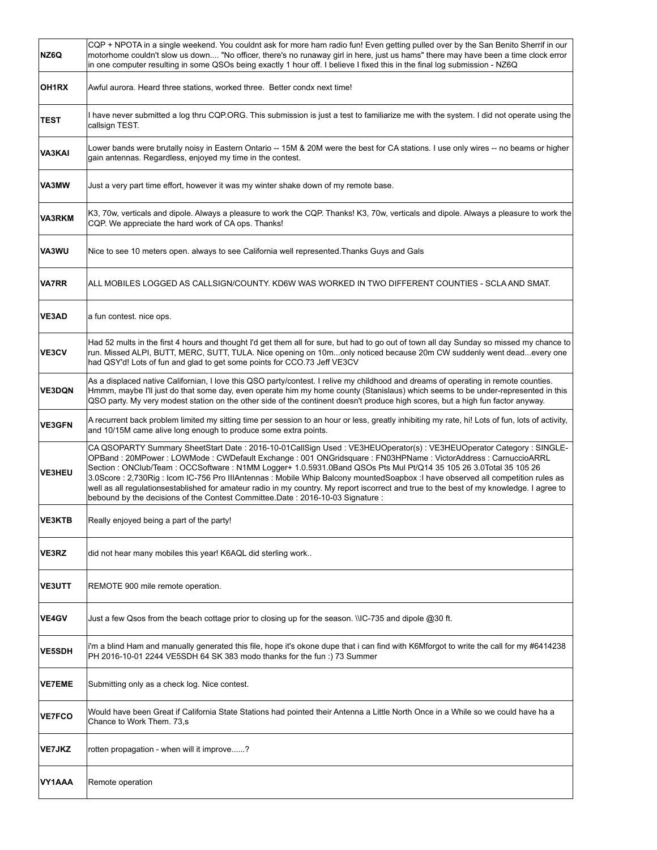| NZ6Q          | CQP + NPOTA in a single weekend. You couldnt ask for more ham radio fun! Even getting pulled over by the San Benito Sherrif in our<br>motorhome couldn't slow us down "No officer, there's no runaway girl in here, just us hams" there may have been a time clock error<br>in one computer resulting in some QSOs being exactly 1 hour off. I believe I fixed this in the final log submission - NZ6Q                                                                                                                                                                                                                                                                                                                     |
|---------------|----------------------------------------------------------------------------------------------------------------------------------------------------------------------------------------------------------------------------------------------------------------------------------------------------------------------------------------------------------------------------------------------------------------------------------------------------------------------------------------------------------------------------------------------------------------------------------------------------------------------------------------------------------------------------------------------------------------------------|
| OH1RX         | Awful aurora. Heard three stations, worked three. Better condx next time!                                                                                                                                                                                                                                                                                                                                                                                                                                                                                                                                                                                                                                                  |
| TEST          | I have never submitted a log thru CQP.ORG. This submission is just a test to familiarize me with the system. I did not operate using the<br>callsign TEST.                                                                                                                                                                                                                                                                                                                                                                                                                                                                                                                                                                 |
| <b>VA3KAI</b> | Lower bands were brutally noisy in Eastern Ontario -- 15M & 20M were the best for CA stations. I use only wires -- no beams or higher<br>gain antennas. Regardless, enjoyed my time in the contest.                                                                                                                                                                                                                                                                                                                                                                                                                                                                                                                        |
| VA3MW         | Just a very part time effort, however it was my winter shake down of my remote base.                                                                                                                                                                                                                                                                                                                                                                                                                                                                                                                                                                                                                                       |
| VA3RKM        | K3, 70w, verticals and dipole. Always a pleasure to work the CQP. Thanks! K3, 70w, verticals and dipole. Always a pleasure to work the<br>CQP. We appreciate the hard work of CA ops. Thanks!                                                                                                                                                                                                                                                                                                                                                                                                                                                                                                                              |
| VA3WU         | Nice to see 10 meters open. always to see California well represented. Thanks Guys and Gals                                                                                                                                                                                                                                                                                                                                                                                                                                                                                                                                                                                                                                |
| VA7RR         | ALL MOBILES LOGGED AS CALLSIGN/COUNTY. KD6W WAS WORKED IN TWO DIFFERENT COUNTIES - SCLA AND SMAT.                                                                                                                                                                                                                                                                                                                                                                                                                                                                                                                                                                                                                          |
| VE3AD         | a fun contest. nice ops.                                                                                                                                                                                                                                                                                                                                                                                                                                                                                                                                                                                                                                                                                                   |
| <b>VE3CV</b>  | Had 52 mults in the first 4 hours and thought I'd get them all for sure, but had to go out of town all day Sunday so missed my chance to<br>run. Missed ALPI, BUTT, MERC, SUTT, TULA. Nice opening on 10monly noticed because 20m CW suddenly went deadevery one<br>had QSY'd! Lots of fun and glad to get some points for CCO.73 Jeff VE3CV                                                                                                                                                                                                                                                                                                                                                                               |
| <b>VE3DQN</b> | As a displaced native Californian, I love this QSO party/contest. I relive my childhood and dreams of operating in remote counties.<br>Hmmm, maybe I'll just do that some day, even operate him my home county (Stanislaus) which seems to be under-represented in this<br>QSO party. My very modest station on the other side of the continent doesn't produce high scores, but a high fun factor anyway.                                                                                                                                                                                                                                                                                                                 |
| <b>VE3GFN</b> | A recurrent back problem limited my sitting time per session to an hour or less, greatly inhibiting my rate, hi! Lots of fun, lots of activity,<br>and 10/15M came alive long enough to produce some extra points.                                                                                                                                                                                                                                                                                                                                                                                                                                                                                                         |
| <b>VE3HEU</b> | CA QSOPARTY Summary SheetStart Date : 2016-10-01CallSign Used : VE3HEUOperator(s) : VE3HEUOperator Category : SINGLE-<br>OPBand : 20MPower : LOWMode : CWDefault Exchange : 001 ONGridsquare : FN03HPName : VictorAddress : CarnuccioARRL<br>Section: ONClub/Team: OCCSoftware: N1MM Logger+ 1.0.5931.0Band QSOs Pts Mul Pt/Q14 35 105 26 3.0Total 35 105 26<br>3.0Score: 2,730Rig: Icom IC-756 Pro IIIAntennas: Mobile Whip Balcony mountedSoapbox: I have observed all competition rules as<br>well as all regulationsestablished for amateur radio in my country. My report iscorrect and true to the best of my knowledge. I agree to<br>bebound by the decisions of the Contest Committee.Date: 2016-10-03 Signature: |
| <b>VE3KTB</b> | Really enjoyed being a part of the party!                                                                                                                                                                                                                                                                                                                                                                                                                                                                                                                                                                                                                                                                                  |
| VE3RZ         | did not hear many mobiles this year! K6AQL did sterling work                                                                                                                                                                                                                                                                                                                                                                                                                                                                                                                                                                                                                                                               |
| <b>VE3UTT</b> | REMOTE 900 mile remote operation.                                                                                                                                                                                                                                                                                                                                                                                                                                                                                                                                                                                                                                                                                          |
| VE4GV         | Just a few Qsos from the beach cottage prior to closing up for the season. \\IC-735 and dipole @30 ft.                                                                                                                                                                                                                                                                                                                                                                                                                                                                                                                                                                                                                     |
| <b>VE5SDH</b> | i'm a blind Ham and manually generated this file, hope it's okone dupe that i can find with K6Mforgot to write the call for my #6414238<br>PH 2016-10-01 2244 VE5SDH 64 SK 383 modo thanks for the fun: 1 73 Summer                                                                                                                                                                                                                                                                                                                                                                                                                                                                                                        |
| <b>VE7EME</b> | Submitting only as a check log. Nice contest.                                                                                                                                                                                                                                                                                                                                                                                                                                                                                                                                                                                                                                                                              |
| <b>VE7FCO</b> | Would have been Great if California State Stations had pointed their Antenna a Little North Once in a While so we could have ha a<br>Chance to Work Them. 73,s                                                                                                                                                                                                                                                                                                                                                                                                                                                                                                                                                             |
| <b>VE7JKZ</b> | rotten propagation - when will it improve?                                                                                                                                                                                                                                                                                                                                                                                                                                                                                                                                                                                                                                                                                 |
| VY1AAA        | Remote operation                                                                                                                                                                                                                                                                                                                                                                                                                                                                                                                                                                                                                                                                                                           |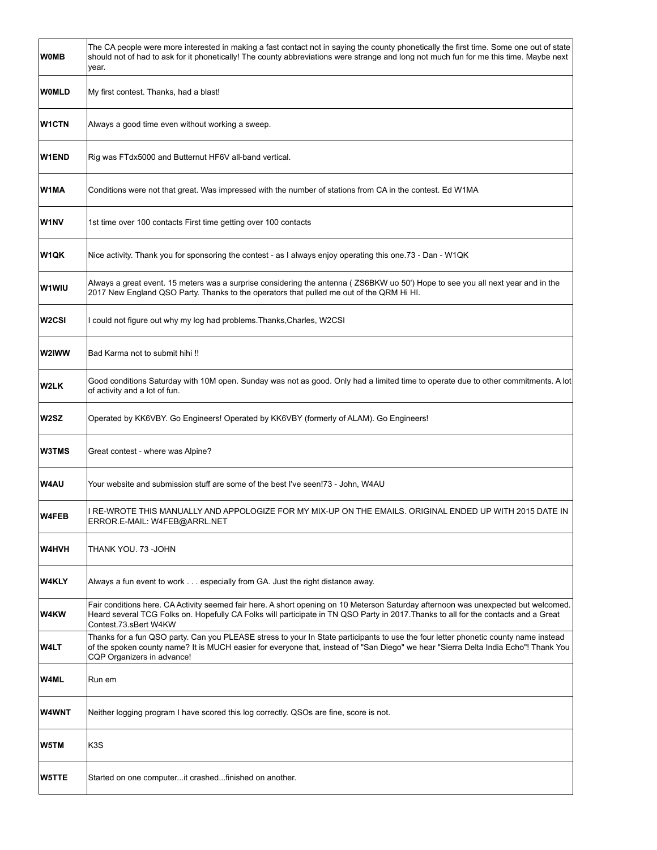| <b>WOMB</b>  | The CA people were more interested in making a fast contact not in saying the county phonetically the first time. Some one out of state<br>should not of had to ask for it phonetically! The county abbreviations were strange and long not much fun for me this time. Maybe next<br>year.               |
|--------------|----------------------------------------------------------------------------------------------------------------------------------------------------------------------------------------------------------------------------------------------------------------------------------------------------------|
| <b>WOMLD</b> | My first contest. Thanks, had a blast!                                                                                                                                                                                                                                                                   |
| <b>W1CTN</b> | Always a good time even without working a sweep.                                                                                                                                                                                                                                                         |
| <b>W1END</b> | Rig was FTdx5000 and Butternut HF6V all-band vertical.                                                                                                                                                                                                                                                   |
| W1MA         | Conditions were not that great. Was impressed with the number of stations from CA in the contest. Ed W1MA                                                                                                                                                                                                |
| <b>W1NV</b>  | 1st time over 100 contacts First time getting over 100 contacts                                                                                                                                                                                                                                          |
| <b>W1QK</b>  | Nice activity. Thank you for sponsoring the contest - as I always enjoy operating this one.73 - Dan - W1QK                                                                                                                                                                                               |
| <b>W1WIU</b> | Always a great event. 15 meters was a surprise considering the antenna (ZS6BKW uo 50') Hope to see you all next year and in the<br>2017 New England QSO Party. Thanks to the operators that pulled me out of the QRM Hi HI.                                                                              |
| W2CSI        | could not figure out why my log had problems. Thanks, Charles, W2CSI                                                                                                                                                                                                                                     |
| <b>W2IWW</b> | Bad Karma not to submit hihi !!                                                                                                                                                                                                                                                                          |
| W2LK         | Good conditions Saturday with 10M open. Sunday was not as good. Only had a limited time to operate due to other commitments. A lot<br>of activity and a lot of fun.                                                                                                                                      |
| W2SZ         | Operated by KK6VBY. Go Engineers! Operated by KK6VBY (formerly of ALAM). Go Engineers!                                                                                                                                                                                                                   |
| W3TMS        | Great contest - where was Alpine?                                                                                                                                                                                                                                                                        |
| <b>W4AU</b>  | Your website and submission stuff are some of the best I've seen!73 - John, W4AU                                                                                                                                                                                                                         |
| <b>W4FEB</b> | RE-WROTE THIS MANUALLY AND APPOLOGIZE FOR MY MIX-UP ON THE EMAILS. ORIGINAL ENDED UP WITH 2015 DATE IN<br>ERROR.E-MAIL: W4FEB@ARRL.NET                                                                                                                                                                   |
| <b>W4HVH</b> | THANK YOU. 73 -JOHN                                                                                                                                                                                                                                                                                      |
| W4KLY        | Always a fun event to work especially from GA. Just the right distance away.                                                                                                                                                                                                                             |
| <b>W4KW</b>  | Fair conditions here. CA Activity seemed fair here. A short opening on 10 Meterson Saturday afternoon was unexpected but welcomed.<br>Heard several TCG Folks on. Hopefully CA Folks will participate in TN QSO Party in 2017. Thanks to all for the contacts and a Great<br>Contest.73.sBert W4KW       |
| W4LT         | Thanks for a fun QSO party. Can you PLEASE stress to your In State participants to use the four letter phonetic county name instead<br>of the spoken county name? It is MUCH easier for everyone that, instead of "San Diego" we hear "Sierra Delta India Echo"! Thank You<br>CQP Organizers in advance! |
| W4ML         | Run em                                                                                                                                                                                                                                                                                                   |
| <b>W4WNT</b> | Neither logging program I have scored this log correctly. QSOs are fine, score is not.                                                                                                                                                                                                                   |
| W5TM         | K <sub>3</sub> S                                                                                                                                                                                                                                                                                         |
| <b>W5TTE</b> | Started on one computert crashedfinished on another.                                                                                                                                                                                                                                                     |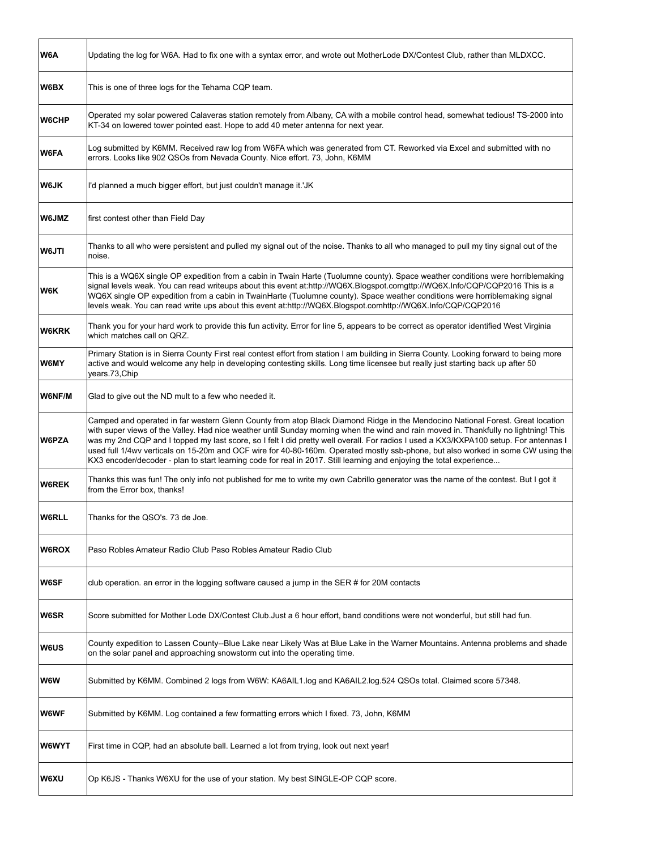| W6A          | Updating the log for W6A. Had to fix one with a syntax error, and wrote out MotherLode DX/Contest Club, rather than MLDXCC.                                                                                                                                                                                                                                                                                                                                                                                                                                                                                                                                                 |
|--------------|-----------------------------------------------------------------------------------------------------------------------------------------------------------------------------------------------------------------------------------------------------------------------------------------------------------------------------------------------------------------------------------------------------------------------------------------------------------------------------------------------------------------------------------------------------------------------------------------------------------------------------------------------------------------------------|
| W6BX         | This is one of three logs for the Tehama CQP team.                                                                                                                                                                                                                                                                                                                                                                                                                                                                                                                                                                                                                          |
| W6CHP        | Operated my solar powered Calaveras station remotely from Albany, CA with a mobile control head, somewhat tedious! TS-2000 into<br>KT-34 on lowered tower pointed east. Hope to add 40 meter antenna for next year.                                                                                                                                                                                                                                                                                                                                                                                                                                                         |
| W6FA         | Log submitted by K6MM. Received raw log from W6FA which was generated from CT. Reworked via Excel and submitted with no<br>errors. Looks like 902 QSOs from Nevada County. Nice effort. 73, John, K6MM                                                                                                                                                                                                                                                                                                                                                                                                                                                                      |
| <b>W6JK</b>  | I'd planned a much bigger effort, but just couldn't manage it.'JK                                                                                                                                                                                                                                                                                                                                                                                                                                                                                                                                                                                                           |
| <b>W6JMZ</b> | first contest other than Field Day                                                                                                                                                                                                                                                                                                                                                                                                                                                                                                                                                                                                                                          |
| <b>W6JTI</b> | Thanks to all who were persistent and pulled my signal out of the noise. Thanks to all who managed to pull my tiny signal out of the<br>noise.                                                                                                                                                                                                                                                                                                                                                                                                                                                                                                                              |
| W6K          | This is a WQ6X single OP expedition from a cabin in Twain Harte (Tuolumne county). Space weather conditions were horriblemaking<br>signal levels weak. You can read writeups about this event at:http://WQ6X.Blogspot.comgttp://WQ6X.Info/CQP/CQP2016 This is a<br>WQ6X single OP expedition from a cabin in TwainHarte (Tuolumne county). Space weather conditions were horriblemaking signal<br>levels weak. You can read write ups about this event at:http://WQ6X.Blogspot.comhttp://WQ6X.Info/CQP/CQP2016                                                                                                                                                              |
| <b>W6KRK</b> | Thank you for your hard work to provide this fun activity. Error for line 5, appears to be correct as operator identified West Virginia<br>which matches call on QRZ.                                                                                                                                                                                                                                                                                                                                                                                                                                                                                                       |
| <b>W6MY</b>  | Primary Station is in Sierra County First real contest effort from station I am building in Sierra County. Looking forward to being more<br>active and would welcome any help in developing contesting skills. Long time licensee but really just starting back up after 50<br>years.73, Chip                                                                                                                                                                                                                                                                                                                                                                               |
| W6NF/M       | Glad to give out the ND mult to a few who needed it.                                                                                                                                                                                                                                                                                                                                                                                                                                                                                                                                                                                                                        |
| <b>W6PZA</b> | Camped and operated in far western Glenn County from atop Black Diamond Ridge in the Mendocino National Forest. Great location<br>with super views of the Valley. Had nice weather until Sunday morning when the wind and rain moved in. Thankfully no lightning! This<br>was my 2nd CQP and I topped my last score, so I felt I did pretty well overall. For radios I used a KX3/KXPA100 setup. For antennas I<br>used full 1/4wv verticals on 15-20m and OCF wire for 40-80-160m. Operated mostly ssb-phone, but also worked in some CW using the<br>KX3 encoder/decoder - plan to start learning code for real in 2017. Still learning and enjoying the total experience |
| <b>W6REK</b> | Thanks this was fun! The only info not published for me to write my own Cabrillo generator was the name of the contest. But I got it<br>from the Error box, thanks!                                                                                                                                                                                                                                                                                                                                                                                                                                                                                                         |
| <b>W6RLL</b> | Thanks for the QSO's, 73 de Joe.                                                                                                                                                                                                                                                                                                                                                                                                                                                                                                                                                                                                                                            |
| <b>W6ROX</b> | Paso Robles Amateur Radio Club Paso Robles Amateur Radio Club                                                                                                                                                                                                                                                                                                                                                                                                                                                                                                                                                                                                               |
| W6SF         | club operation. an error in the logging software caused a jump in the SER # for 20M contacts                                                                                                                                                                                                                                                                                                                                                                                                                                                                                                                                                                                |
| W6SR         | Score submitted for Mother Lode DX/Contest Club. Just a 6 hour effort, band conditions were not wonderful, but still had fun.                                                                                                                                                                                                                                                                                                                                                                                                                                                                                                                                               |
| <b>W6US</b>  | County expedition to Lassen County--Blue Lake near Likely Was at Blue Lake in the Warner Mountains. Antenna problems and shade<br>on the solar panel and approaching snowstorm cut into the operating time.                                                                                                                                                                                                                                                                                                                                                                                                                                                                 |
| W6W          | Submitted by K6MM. Combined 2 logs from W6W: KA6AIL1.log and KA6AIL2.log.524 QSOs total. Claimed score 57348.                                                                                                                                                                                                                                                                                                                                                                                                                                                                                                                                                               |
| W6WF         | Submitted by K6MM. Log contained a few formatting errors which I fixed. 73, John, K6MM                                                                                                                                                                                                                                                                                                                                                                                                                                                                                                                                                                                      |
| <b>W6WYT</b> | First time in CQP, had an absolute ball. Learned a lot from trying, look out next year!                                                                                                                                                                                                                                                                                                                                                                                                                                                                                                                                                                                     |
| <b>W6XU</b>  | Op K6JS - Thanks W6XU for the use of your station. My best SINGLE-OP CQP score.                                                                                                                                                                                                                                                                                                                                                                                                                                                                                                                                                                                             |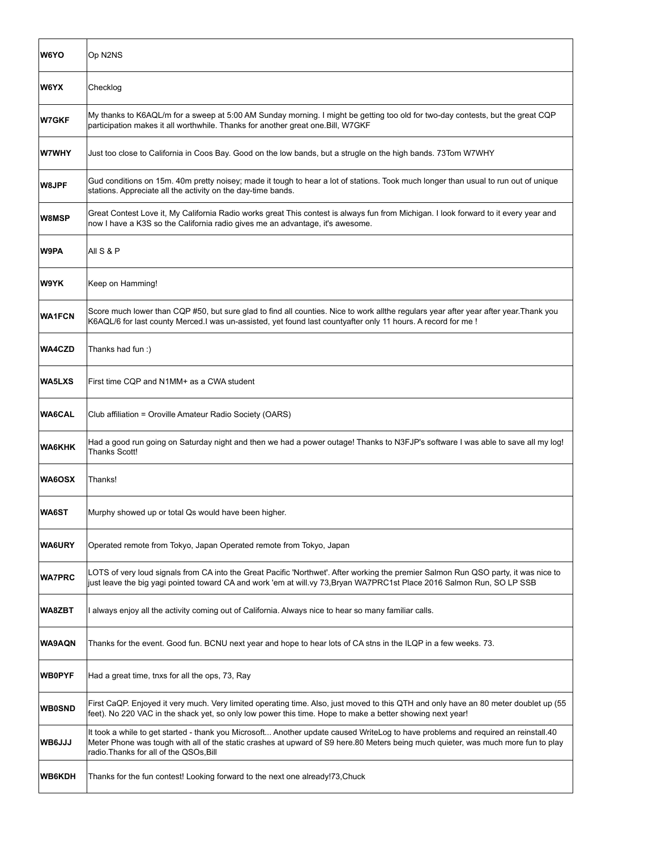| <b>W6YO</b>   | Op N2NS                                                                                                                                                                                                                                                                                                           |
|---------------|-------------------------------------------------------------------------------------------------------------------------------------------------------------------------------------------------------------------------------------------------------------------------------------------------------------------|
| W6YX          | Checklog                                                                                                                                                                                                                                                                                                          |
| W7GKF         | My thanks to K6AQL/m for a sweep at 5:00 AM Sunday morning. I might be getting too old for two-day contests, but the great CQP<br>participation makes it all worthwhile. Thanks for another great one. Bill, W7GKF                                                                                                |
| W7WHY         | Just too close to California in Coos Bay. Good on the low bands, but a strugle on the high bands. 73Tom W7WHY                                                                                                                                                                                                     |
| W8JPF         | Gud conditions on 15m. 40m pretty noisey; made it tough to hear a lot of stations. Took much longer than usual to run out of unique<br>stations. Appreciate all the activity on the day-time bands.                                                                                                               |
| W8MSP         | Great Contest Love it, My California Radio works great This contest is always fun from Michigan. I look forward to it every year and<br>now I have a K3S so the California radio gives me an advantage, it's awesome.                                                                                             |
| W9PA          | All S & P                                                                                                                                                                                                                                                                                                         |
| W9YK          | Keep on Hamming!                                                                                                                                                                                                                                                                                                  |
| <b>WA1FCN</b> | Score much lower than CQP #50, but sure glad to find all counties. Nice to work allthe regulars year after year after year. Thank you<br>K6AQL/6 for last county Merced. I was un-assisted, yet found last countyafter only 11 hours. A record for me !                                                           |
| <b>WA4CZD</b> | Thanks had fun :)                                                                                                                                                                                                                                                                                                 |
| WA5LXS        | First time CQP and N1MM+ as a CWA student                                                                                                                                                                                                                                                                         |
| <b>WA6CAL</b> | Club affiliation = Oroville Amateur Radio Society (OARS)                                                                                                                                                                                                                                                          |
| <b>WA6KHK</b> | Had a good run going on Saturday night and then we had a power outage! Thanks to N3FJP's software I was able to save all my log!<br><b>Thanks Scott!</b>                                                                                                                                                          |
| <b>WA6OSX</b> | Thanks!                                                                                                                                                                                                                                                                                                           |
| <b>WA6ST</b>  | Murphy showed up or total Qs would have been higher.                                                                                                                                                                                                                                                              |
| <b>WA6URY</b> | Operated remote from Tokyo, Japan Operated remote from Tokyo, Japan                                                                                                                                                                                                                                               |
| <b>WA7PRC</b> | LOTS of very loud signals from CA into the Great Pacific 'Northwet'. After working the premier Salmon Run QSO party, it was nice to<br>just leave the big yagi pointed toward CA and work 'em at will.vy 73,Bryan WA7PRC1st Place 2016 Salmon Run, SO LP SSB                                                      |
| <b>WA8ZBT</b> | I always enjoy all the activity coming out of California. Always nice to hear so many familiar calls.                                                                                                                                                                                                             |
| <b>WA9AQN</b> | Thanks for the event. Good fun. BCNU next year and hope to hear lots of CA stns in the ILQP in a few weeks. 73.                                                                                                                                                                                                   |
| <b>WB0PYF</b> | Had a great time, tnxs for all the ops, 73, Ray                                                                                                                                                                                                                                                                   |
| <b>WB0SND</b> | First CaQP. Enjoyed it very much. Very limited operating time. Also, just moved to this QTH and only have an 80 meter doublet up (55<br>feet). No 220 VAC in the shack yet, so only low power this time. Hope to make a better showing next year!                                                                 |
| WB6JJJ        | It took a while to get started - thank you Microsoft Another update caused WriteLog to have problems and required an reinstall.40<br>Meter Phone was tough with all of the static crashes at upward of S9 here.80 Meters being much quieter, was much more fun to play<br>radio. Thanks for all of the QSOs, Bill |
| <b>WB6KDH</b> | Thanks for the fun contest! Looking forward to the next one already!73, Chuck                                                                                                                                                                                                                                     |